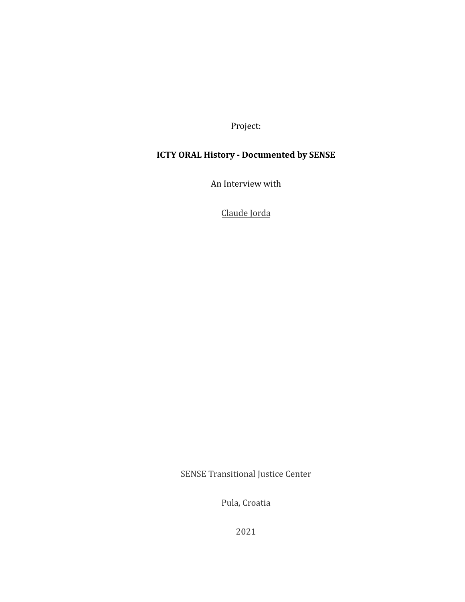Project:

## **ICTY ORAL History - Documented by SENSE**

An Interview with

Claude Jorda

SENSE Transitional Justice Center

Pula, Croatia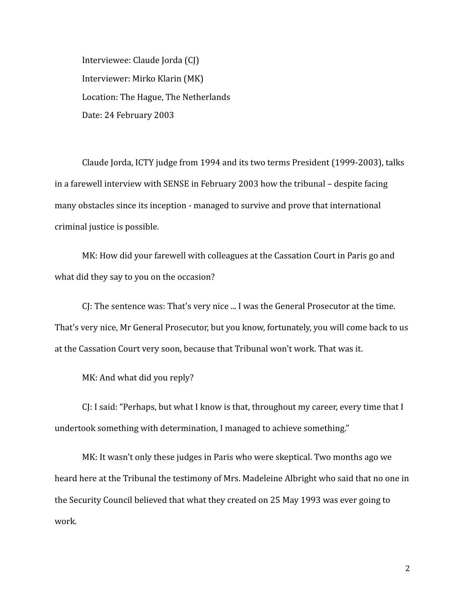Interviewee: Claude Jorda (CJ) Interviewer: Mirko Klarin (MK) Location: The Hague, The Netherlands Date: 24 February 2003

Claude Jorda, ICTY judge from 1994 and its two terms President (1999-2003), talks in a farewell interview with SENSE in February 2003 how the tribunal – despite facing many obstacles since its inception - managed to survive and prove that international criminal justice is possible.

MK: How did your farewell with colleagues at the Cassation Court in Paris go and what did they say to you on the occasion?

CJ: The sentence was: That's very nice ... I was the General Prosecutor at the time. That's very nice, Mr General Prosecutor, but you know, fortunately, you will come back to us at the Cassation Court very soon, because that Tribunal won't work. That was it.

MK: And what did you reply?

CJ: I said: "Perhaps, but what I know is that, throughout my career, every time that I undertook something with determination, I managed to achieve something."

MK: It wasn't only these judges in Paris who were skeptical. Two months ago we heard here at the Tribunal the testimony of Mrs. Madeleine Albright who said that no one in the Security Council believed that what they created on 25 May 1993 was ever going to work.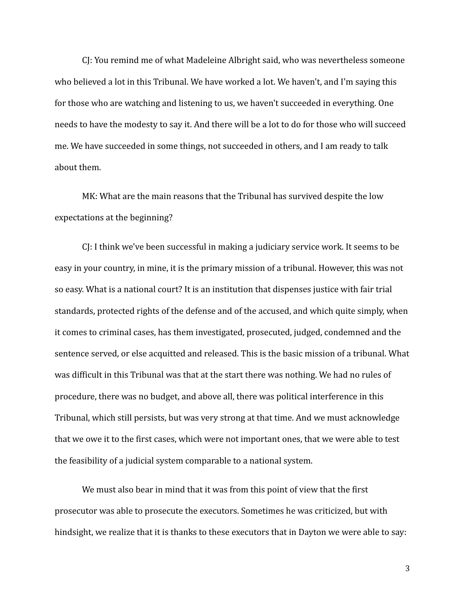CJ: You remind me of what Madeleine Albright said, who was nevertheless someone who believed a lot in this Tribunal. We have worked a lot. We haven't, and I'm saying this for those who are watching and listening to us, we haven't succeeded in everything. One needs to have the modesty to say it. And there will be a lot to do for those who will succeed me. We have succeeded in some things, not succeeded in others, and I am ready to talk about them.

MK: What are the main reasons that the Tribunal has survived despite the low expectations at the beginning?

CJ: I think we've been successful in making a judiciary service work. It seems to be easy in your country, in mine, it is the primary mission of a tribunal. However, this was not so easy. What is a national court? It is an institution that dispenses justice with fair trial standards, protected rights of the defense and of the accused, and which quite simply, when it comes to criminal cases, has them investigated, prosecuted, judged, condemned and the sentence served, or else acquitted and released. This is the basic mission of a tribunal. What was difficult in this Tribunal was that at the start there was nothing. We had no rules of procedure, there was no budget, and above all, there was political interference in this Tribunal, which still persists, but was very strong at that time. And we must acknowledge that we owe it to the first cases, which were not important ones, that we were able to test the feasibility of a judicial system comparable to a national system.

We must also bear in mind that it was from this point of view that the first prosecutor was able to prosecute the executors. Sometimes he was criticized, but with hindsight, we realize that it is thanks to these executors that in Dayton we were able to say: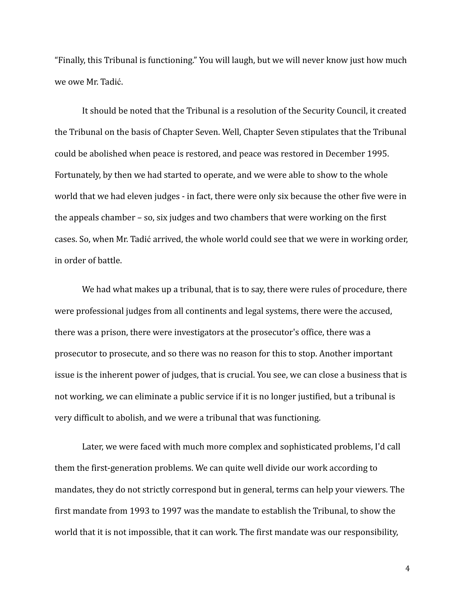"Finally, this Tribunal is functioning." You will laugh, but we will never know just how much we owe Mr. Tadić.

It should be noted that the Tribunal is a resolution of the Security Council, it created the Tribunal on the basis of Chapter Seven. Well, Chapter Seven stipulates that the Tribunal could be abolished when peace is restored, and peace was restored in December 1995. Fortunately, by then we had started to operate, and we were able to show to the whole world that we had eleven judges - in fact, there were only six because the other five were in the appeals chamber – so, six judges and two chambers that were working on the first cases. So, when Mr. Tadić arrived, the whole world could see that we were in working order, in order of battle.

We had what makes up a tribunal, that is to say, there were rules of procedure, there were professional judges from all continents and legal systems, there were the accused, there was a prison, there were investigators at the prosecutor's office, there was a prosecutor to prosecute, and so there was no reason for this to stop. Another important issue is the inherent power of judges, that is crucial. You see, we can close a business that is not working, we can eliminate a public service if it is no longer justified, but a tribunal is very difficult to abolish, and we were a tribunal that was functioning.

Later, we were faced with much more complex and sophisticated problems, I'd call them the first-generation problems. We can quite well divide our work according to mandates, they do not strictly correspond but in general, terms can help your viewers. The first mandate from 1993 to 1997 was the mandate to establish the Tribunal, to show the world that it is not impossible, that it can work. The first mandate was our responsibility,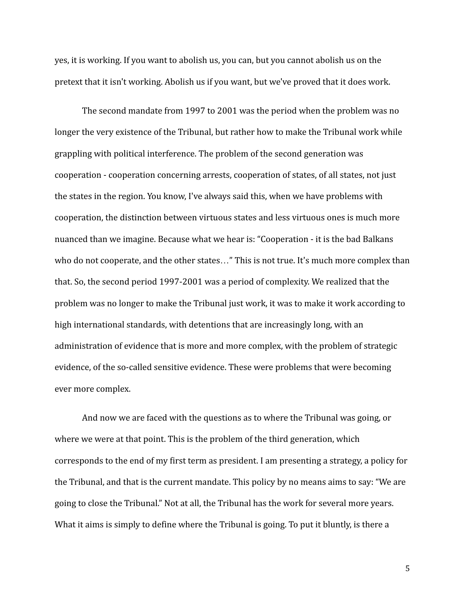yes, it is working. If you want to abolish us, you can, but you cannot abolish us on the pretext that it isn't working. Abolish us if you want, but we've proved that it does work.

The second mandate from 1997 to 2001 was the period when the problem was no longer the very existence of the Tribunal, but rather how to make the Tribunal work while grappling with political interference. The problem of the second generation was cooperation - cooperation concerning arrests, cooperation of states, of all states, not just the states in the region. You know, I've always said this, when we have problems with cooperation, the distinction between virtuous states and less virtuous ones is much more nuanced than we imagine. Because what we hear is: "Cooperation - it is the bad Balkans who do not cooperate, and the other states…" This is not true. It's much more complex than that. So, the second period 1997-2001 was a period of complexity. We realized that the problem was no longer to make the Tribunal just work, it was to make it work according to high international standards, with detentions that are increasingly long, with an administration of evidence that is more and more complex, with the problem of strategic evidence, of the so-called sensitive evidence. These were problems that were becoming ever more complex.

And now we are faced with the questions as to where the Tribunal was going, or where we were at that point. This is the problem of the third generation, which corresponds to the end of my first term as president. I am presenting a strategy, a policy for the Tribunal, and that is the current mandate. This policy by no means aims to say: "We are going to close the Tribunal." Not at all, the Tribunal has the work for several more years. What it aims is simply to define where the Tribunal is going. To put it bluntly, is there a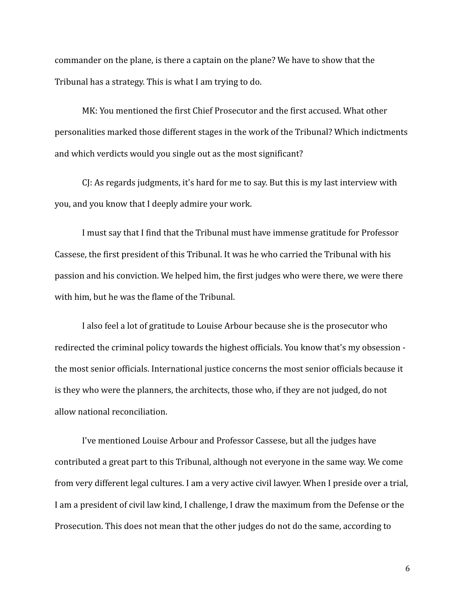commander on the plane, is there a captain on the plane? We have to show that the Tribunal has a strategy. This is what I am trying to do.

MK: You mentioned the first Chief Prosecutor and the first accused. What other personalities marked those different stages in the work of the Tribunal? Which indictments and which verdicts would you single out as the most significant?

CJ: As regards judgments, it's hard for me to say. But this is my last interview with you, and you know that I deeply admire your work.

I must say that I find that the Tribunal must have immense gratitude for Professor Cassese, the first president of this Tribunal. It was he who carried the Tribunal with his passion and his conviction. We helped him, the first judges who were there, we were there with him, but he was the flame of the Tribunal.

I also feel a lot of gratitude to Louise Arbour because she is the prosecutor who redirected the criminal policy towards the highest officials. You know that's my obsession the most senior officials. International justice concerns the most senior officials because it is they who were the planners, the architects, those who, if they are not judged, do not allow national reconciliation.

I've mentioned Louise Arbour and Professor Cassese, but all the judges have contributed a great part to this Tribunal, although not everyone in the same way. We come from very different legal cultures. I am a very active civil lawyer. When I preside over a trial, I am a president of civil law kind, I challenge, I draw the maximum from the Defense or the Prosecution. This does not mean that the other judges do not do the same, according to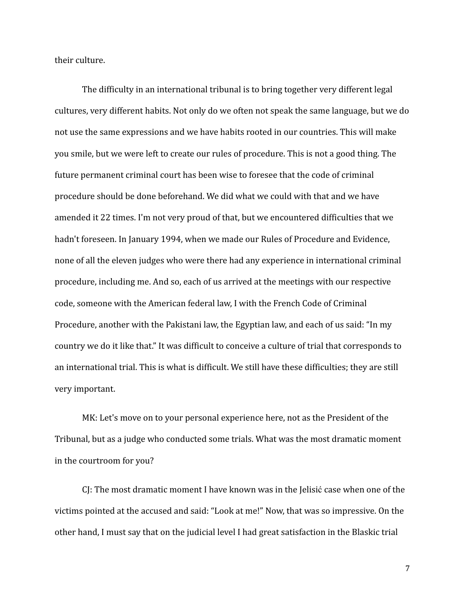their culture.

The difficulty in an international tribunal is to bring together very different legal cultures, very different habits. Not only do we often not speak the same language, but we do not use the same expressions and we have habits rooted in our countries. This will make you smile, but we were left to create our rules of procedure. This is not a good thing. The future permanent criminal court has been wise to foresee that the code of criminal procedure should be done beforehand. We did what we could with that and we have amended it 22 times. I'm not very proud of that, but we encountered difficulties that we hadn't foreseen. In January 1994, when we made our Rules of Procedure and Evidence, none of all the eleven judges who were there had any experience in international criminal procedure, including me. And so, each of us arrived at the meetings with our respective code, someone with the American federal law, I with the French Code of Criminal Procedure, another with the Pakistani law, the Egyptian law, and each of us said: "In my country we do it like that." It was difficult to conceive a culture of trial that corresponds to an international trial. This is what is difficult. We still have these difficulties; they are still very important.

MK: Let's move on to your personal experience here, not as the President of the Tribunal, but as a judge who conducted some trials. What was the most dramatic moment in the courtroom for you?

CJ: The most dramatic moment I have known was in the Jelisić case when one of the victims pointed at the accused and said: "Look at me!" Now, that was so impressive. On the other hand, I must say that on the judicial level I had great satisfaction in the Blaskic trial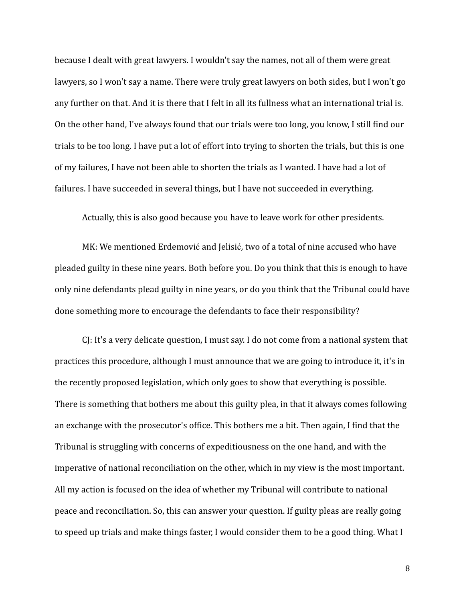because I dealt with great lawyers. I wouldn't say the names, not all of them were great lawyers, so I won't say a name. There were truly great lawyers on both sides, but I won't go any further on that. And it is there that I felt in all its fullness what an international trial is. On the other hand, I've always found that our trials were too long, you know, I still find our trials to be too long. I have put a lot of effort into trying to shorten the trials, but this is one of my failures, I have not been able to shorten the trials as I wanted. I have had a lot of failures. I have succeeded in several things, but I have not succeeded in everything.

Actually, this is also good because you have to leave work for other presidents.

MK: We mentioned Erdemović and Jelisić, two of a total of nine accused who have pleaded guilty in these nine years. Both before you. Do you think that this is enough to have only nine defendants plead guilty in nine years, or do you think that the Tribunal could have done something more to encourage the defendants to face their responsibility?

CJ: It's a very delicate question, I must say. I do not come from a national system that practices this procedure, although I must announce that we are going to introduce it, it's in the recently proposed legislation, which only goes to show that everything is possible. There is something that bothers me about this guilty plea, in that it always comes following an exchange with the prosecutor's office. This bothers me a bit. Then again, I find that the Tribunal is struggling with concerns of expeditiousness on the one hand, and with the imperative of national reconciliation on the other, which in my view is the most important. All my action is focused on the idea of whether my Tribunal will contribute to national peace and reconciliation. So, this can answer your question. If guilty pleas are really going to speed up trials and make things faster, I would consider them to be a good thing. What I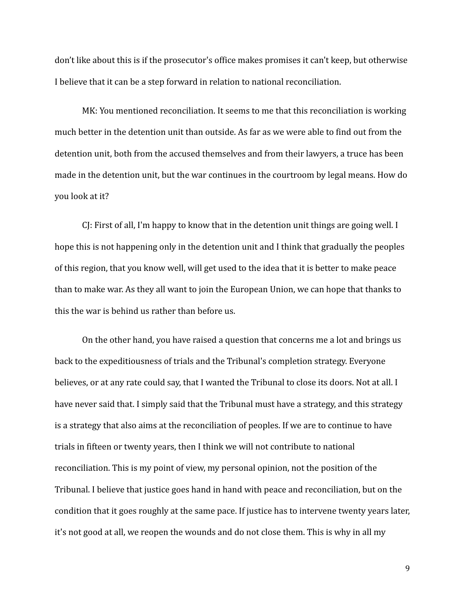don't like about this is if the prosecutor's office makes promises it can't keep, but otherwise I believe that it can be a step forward in relation to national reconciliation.

MK: You mentioned reconciliation. It seems to me that this reconciliation is working much better in the detention unit than outside. As far as we were able to find out from the detention unit, both from the accused themselves and from their lawyers, a truce has been made in the detention unit, but the war continues in the courtroom by legal means. How do you look at it?

CJ: First of all, I'm happy to know that in the detention unit things are going well. I hope this is not happening only in the detention unit and I think that gradually the peoples of this region, that you know well, will get used to the idea that it is better to make peace than to make war. As they all want to join the European Union, we can hope that thanks to this the war is behind us rather than before us.

On the other hand, you have raised a question that concerns me a lot and brings us back to the expeditiousness of trials and the Tribunal's completion strategy. Everyone believes, or at any rate could say, that I wanted the Tribunal to close its doors. Not at all. I have never said that. I simply said that the Tribunal must have a strategy, and this strategy is a strategy that also aims at the reconciliation of peoples. If we are to continue to have trials in fifteen or twenty years, then I think we will not contribute to national reconciliation. This is my point of view, my personal opinion, not the position of the Tribunal. I believe that justice goes hand in hand with peace and reconciliation, but on the condition that it goes roughly at the same pace. If justice has to intervene twenty years later, it's not good at all, we reopen the wounds and do not close them. This is why in all my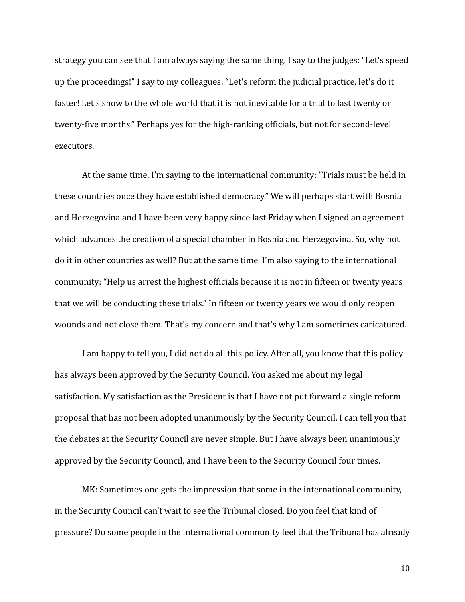strategy you can see that I am always saying the same thing. I say to the judges: "Let's speed up the proceedings!" I say to my colleagues: "Let's reform the judicial practice, let's do it faster! Let's show to the whole world that it is not inevitable for a trial to last twenty or twenty-five months." Perhaps yes for the high-ranking officials, but not for second-level executors.

At the same time, I'm saying to the international community: "Trials must be held in these countries once they have established democracy." We will perhaps start with Bosnia and Herzegovina and I have been very happy since last Friday when I signed an agreement which advances the creation of a special chamber in Bosnia and Herzegovina. So, why not do it in other countries as well? But at the same time, I'm also saying to the international community: "Help us arrest the highest officials because it is not in fifteen or twenty years that we will be conducting these trials." In fifteen or twenty years we would only reopen wounds and not close them. That's my concern and that's why I am sometimes caricatured.

I am happy to tell you, I did not do all this policy. After all, you know that this policy has always been approved by the Security Council. You asked me about my legal satisfaction. My satisfaction as the President is that I have not put forward a single reform proposal that has not been adopted unanimously by the Security Council. I can tell you that the debates at the Security Council are never simple. But I have always been unanimously approved by the Security Council, and I have been to the Security Council four times.

MK: Sometimes one gets the impression that some in the international community, in the Security Council can't wait to see the Tribunal closed. Do you feel that kind of pressure? Do some people in the international community feel that the Tribunal has already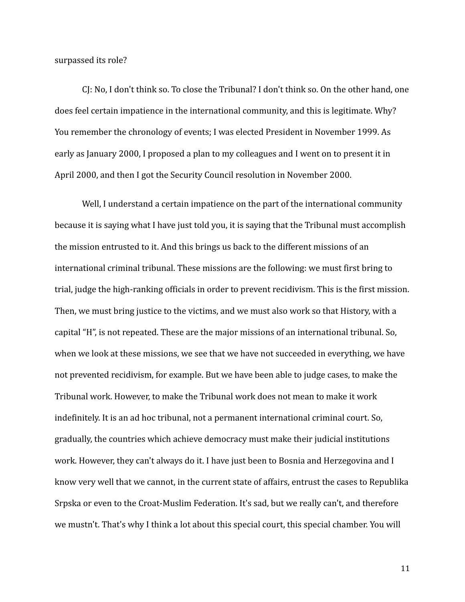surpassed its role?

CJ: No, I don't think so. To close the Tribunal? I don't think so. On the other hand, one does feel certain impatience in the international community, and this is legitimate. Why? You remember the chronology of events; I was elected President in November 1999. As early as January 2000, I proposed a plan to my colleagues and I went on to present it in April 2000, and then I got the Security Council resolution in November 2000.

Well, I understand a certain impatience on the part of the international community because it is saying what I have just told you, it is saying that the Tribunal must accomplish the mission entrusted to it. And this brings us back to the different missions of an international criminal tribunal. These missions are the following: we must first bring to trial, judge the high-ranking officials in order to prevent recidivism. This is the first mission. Then, we must bring justice to the victims, and we must also work so that History, with a capital "H", is not repeated. These are the major missions of an international tribunal. So, when we look at these missions, we see that we have not succeeded in everything, we have not prevented recidivism, for example. But we have been able to judge cases, to make the Tribunal work. However, to make the Tribunal work does not mean to make it work indefinitely. It is an ad hoc tribunal, not a permanent international criminal court. So, gradually, the countries which achieve democracy must make their judicial institutions work. However, they can't always do it. I have just been to Bosnia and Herzegovina and I know very well that we cannot, in the current state of affairs, entrust the cases to Republika Srpska or even to the Croat-Muslim Federation. It's sad, but we really can't, and therefore we mustn't. That's why I think a lot about this special court, this special chamber. You will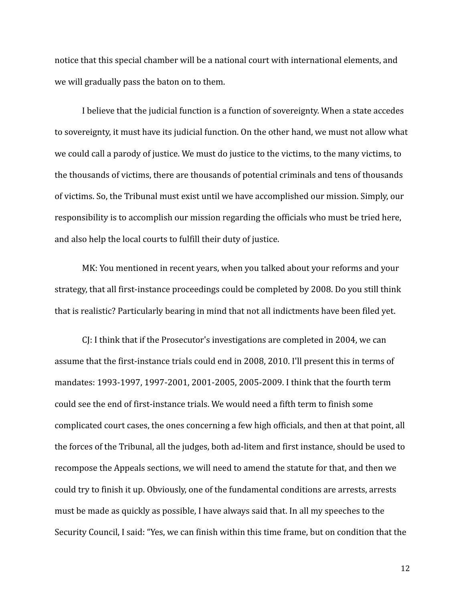notice that this special chamber will be a national court with international elements, and we will gradually pass the baton on to them.

I believe that the judicial function is a function of sovereignty. When a state accedes to sovereignty, it must have its judicial function. On the other hand, we must not allow what we could call a parody of justice. We must do justice to the victims, to the many victims, to the thousands of victims, there are thousands of potential criminals and tens of thousands of victims. So, the Tribunal must exist until we have accomplished our mission. Simply, our responsibility is to accomplish our mission regarding the officials who must be tried here, and also help the local courts to fulfill their duty of justice.

MK: You mentioned in recent years, when you talked about your reforms and your strategy, that all first-instance proceedings could be completed by 2008. Do you still think that is realistic? Particularly bearing in mind that not all indictments have been filed yet.

CJ: I think that if the Prosecutor's investigations are completed in 2004, we can assume that the first-instance trials could end in 2008, 2010. I'll present this in terms of mandates: 1993-1997, 1997-2001, 2001-2005, 2005-2009. I think that the fourth term could see the end of first-instance trials. We would need a fifth term to finish some complicated court cases, the ones concerning a few high officials, and then at that point, all the forces of the Tribunal, all the judges, both ad-litem and first instance, should be used to recompose the Appeals sections, we will need to amend the statute for that, and then we could try to finish it up. Obviously, one of the fundamental conditions are arrests, arrests must be made as quickly as possible, I have always said that. In all my speeches to the Security Council, I said: "Yes, we can finish within this time frame, but on condition that the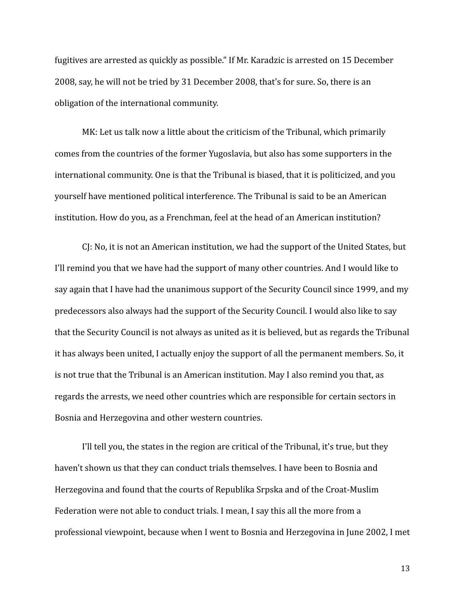fugitives are arrested as quickly as possible." If Mr. Karadzic is arrested on 15 December 2008, say, he will not be tried by 31 December 2008, that's for sure. So, there is an obligation of the international community.

MK: Let us talk now a little about the criticism of the Tribunal, which primarily comes from the countries of the former Yugoslavia, but also has some supporters in the international community. One is that the Tribunal is biased, that it is politicized, and you yourself have mentioned political interference. The Tribunal is said to be an American institution. How do you, as a Frenchman, feel at the head of an American institution?

CJ: No, it is not an American institution, we had the support of the United States, but I'll remind you that we have had the support of many other countries. And I would like to say again that I have had the unanimous support of the Security Council since 1999, and my predecessors also always had the support of the Security Council. I would also like to say that the Security Council is not always as united as it is believed, but as regards the Tribunal it has always been united, I actually enjoy the support of all the permanent members. So, it is not true that the Tribunal is an American institution. May I also remind you that, as regards the arrests, we need other countries which are responsible for certain sectors in Bosnia and Herzegovina and other western countries.

I'll tell you, the states in the region are critical of the Tribunal, it's true, but they haven't shown us that they can conduct trials themselves. I have been to Bosnia and Herzegovina and found that the courts of Republika Srpska and of the Croat-Muslim Federation were not able to conduct trials. I mean, I say this all the more from a professional viewpoint, because when I went to Bosnia and Herzegovina in June 2002, I met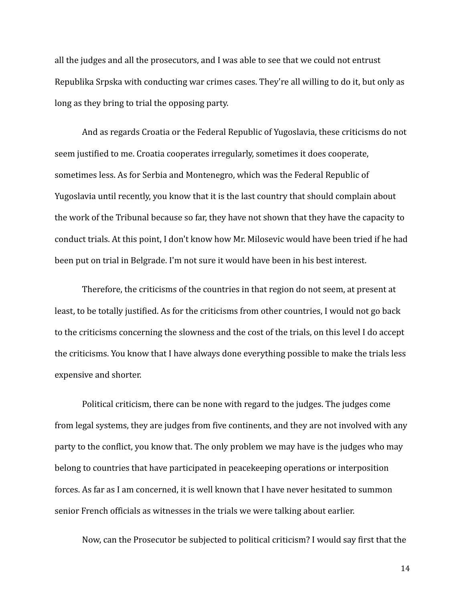all the judges and all the prosecutors, and I was able to see that we could not entrust Republika Srpska with conducting war crimes cases. They're all willing to do it, but only as long as they bring to trial the opposing party.

And as regards Croatia or the Federal Republic of Yugoslavia, these criticisms do not seem justified to me. Croatia cooperates irregularly, sometimes it does cooperate, sometimes less. As for Serbia and Montenegro, which was the Federal Republic of Yugoslavia until recently, you know that it is the last country that should complain about the work of the Tribunal because so far, they have not shown that they have the capacity to conduct trials. At this point, I don't know how Mr. Milosevic would have been tried if he had been put on trial in Belgrade. I'm not sure it would have been in his best interest.

Therefore, the criticisms of the countries in that region do not seem, at present at least, to be totally justified. As for the criticisms from other countries, I would not go back to the criticisms concerning the slowness and the cost of the trials, on this level I do accept the criticisms. You know that I have always done everything possible to make the trials less expensive and shorter.

Political criticism, there can be none with regard to the judges. The judges come from legal systems, they are judges from five continents, and they are not involved with any party to the conflict, you know that. The only problem we may have is the judges who may belong to countries that have participated in peacekeeping operations or interposition forces. As far as I am concerned, it is well known that I have never hesitated to summon senior French officials as witnesses in the trials we were talking about earlier.

Now, can the Prosecutor be subjected to political criticism? I would say first that the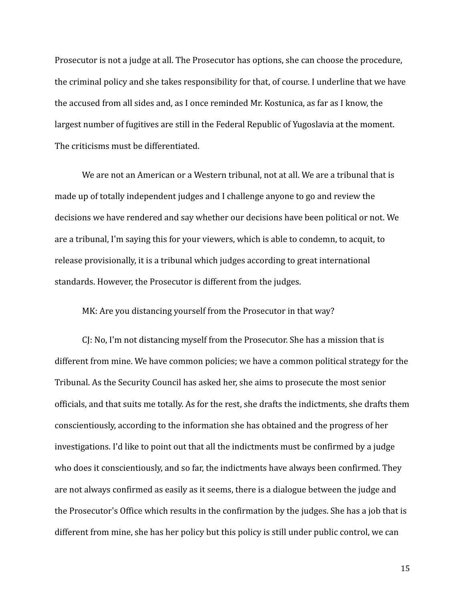Prosecutor is not a judge at all. The Prosecutor has options, she can choose the procedure, the criminal policy and she takes responsibility for that, of course. I underline that we have the accused from all sides and, as I once reminded Mr. Kostunica, as far as I know, the largest number of fugitives are still in the Federal Republic of Yugoslavia at the moment. The criticisms must be differentiated.

We are not an American or a Western tribunal, not at all. We are a tribunal that is made up of totally independent judges and I challenge anyone to go and review the decisions we have rendered and say whether our decisions have been political or not. We are a tribunal, I'm saying this for your viewers, which is able to condemn, to acquit, to release provisionally, it is a tribunal which judges according to great international standards. However, the Prosecutor is different from the judges.

MK: Are you distancing yourself from the Prosecutor in that way?

CJ: No, I'm not distancing myself from the Prosecutor. She has a mission that is different from mine. We have common policies; we have a common political strategy for the Tribunal. As the Security Council has asked her, she aims to prosecute the most senior officials, and that suits me totally. As for the rest, she drafts the indictments, she drafts them conscientiously, according to the information she has obtained and the progress of her investigations. I'd like to point out that all the indictments must be confirmed by a judge who does it conscientiously, and so far, the indictments have always been confirmed. They are not always confirmed as easily as it seems, there is a dialogue between the judge and the Prosecutor's Office which results in the confirmation by the judges. She has a job that is different from mine, she has her policy but this policy is still under public control, we can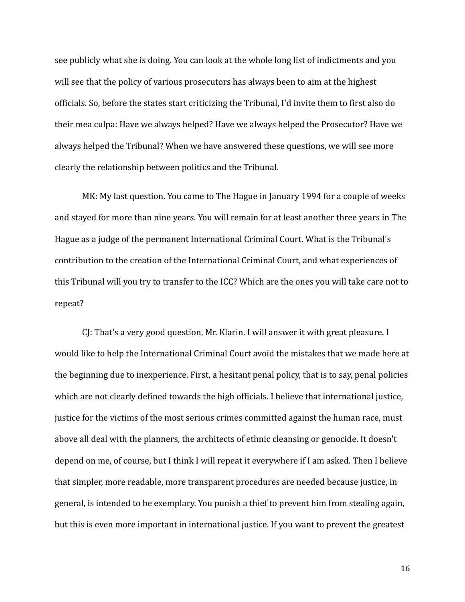see publicly what she is doing. You can look at the whole long list of indictments and you will see that the policy of various prosecutors has always been to aim at the highest officials. So, before the states start criticizing the Tribunal, I'd invite them to first also do their mea culpa: Have we always helped? Have we always helped the Prosecutor? Have we always helped the Tribunal? When we have answered these questions, we will see more clearly the relationship between politics and the Tribunal.

MK: My last question. You came to The Hague in January 1994 for a couple of weeks and stayed for more than nine years. You will remain for at least another three years in The Hague as a judge of the permanent International Criminal Court. What is the Tribunal's contribution to the creation of the International Criminal Court, and what experiences of this Tribunal will you try to transfer to the ICC? Which are the ones you will take care not to repeat?

CJ: That's a very good question, Mr. Klarin. I will answer it with great pleasure. I would like to help the International Criminal Court avoid the mistakes that we made here at the beginning due to inexperience. First, a hesitant penal policy, that is to say, penal policies which are not clearly defined towards the high officials. I believe that international justice, justice for the victims of the most serious crimes committed against the human race, must above all deal with the planners, the architects of ethnic cleansing or genocide. It doesn't depend on me, of course, but I think I will repeat it everywhere if I am asked. Then I believe that simpler, more readable, more transparent procedures are needed because justice, in general, is intended to be exemplary. You punish a thief to prevent him from stealing again, but this is even more important in international justice. If you want to prevent the greatest